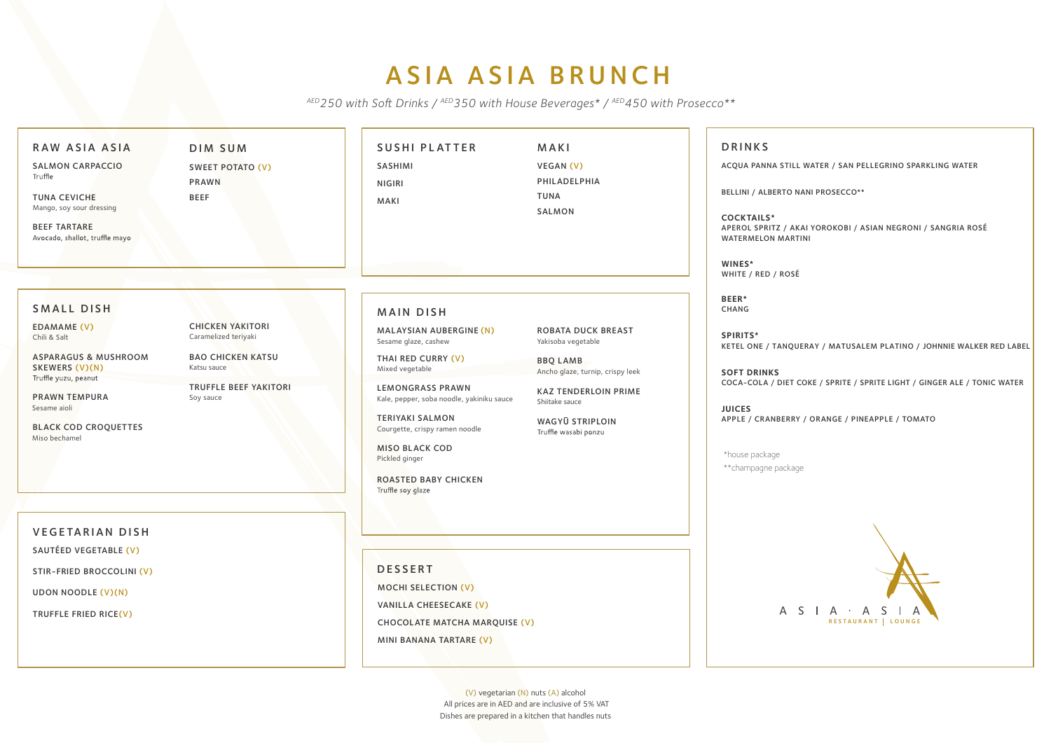## ASIA ASIA BRUNCH

AED 250 with Soft Drinks / AED 350 with House Beverages\* / AED 450 with Prosecco\*\*

| RAW ASIA ASIA                                                             | <b>DIM SUM</b>                                  | <b>SUSHI PLATTER</b>                                                 | <b>MAKI</b>                                         | <b>DRINKS</b>                                                   |
|---------------------------------------------------------------------------|-------------------------------------------------|----------------------------------------------------------------------|-----------------------------------------------------|-----------------------------------------------------------------|
| <b>SALMON CARPACCIO</b><br>Truffle                                        | <b>SWEET POTATO (V)</b>                         | <b>SASHIMI</b>                                                       | VEGAN (V)                                           | <b>ACQUA PANNA STI</b>                                          |
|                                                                           | <b>PRAWN</b>                                    | <b>NIGIRI</b>                                                        | PHILADELPHIA                                        | <b>BELLINI / ALBERTO</b>                                        |
| <b>TUNA CEVICHE</b><br>Mango, soy sour dressing                           | <b>BEEF</b>                                     | <b>MAKI</b>                                                          | <b>TUNA</b>                                         |                                                                 |
| <b>BEEF TARTARE</b><br>Avocado, shallot, truffle mayo                     |                                                 |                                                                      | <b>SALMON</b>                                       | <b>COCKTAILS*</b><br>APEROL SPRITZ / A<br><b>WATERMELON MAR</b> |
|                                                                           |                                                 |                                                                      |                                                     | WINES*<br>WHITE / RED / ROS                                     |
|                                                                           |                                                 |                                                                      |                                                     | BEER*                                                           |
| <b>SMALL DISH</b>                                                         |                                                 | <b>MAIN DISH</b>                                                     |                                                     | <b>CHANG</b>                                                    |
| <b>EDAMAME (V)</b><br>Chili & Salt                                        | <b>CHICKEN YAKITORI</b><br>Caramelized teriyaki | MALAYSIAN AUBERGINE (N)<br>Sesame glaze, cashew                      | <b>ROBATA DUCK BREAST</b><br>Yakisoba vegetable     | SPIRITS*<br><b>KETEL ONE / TANQ</b>                             |
| <b>ASPARAGUS &amp; MUSHROOM</b><br>SKEWERS (V)(N)<br>Truffle yuzu, peanut | <b>BAO CHICKEN KATSU</b><br>Katsu sauce         | THAI RED CURRY (V)<br>Mixed vegetable                                | <b>BBQ LAMB</b><br>Ancho glaze, turnip, crispy leek | <b>SOFT DRINKS</b>                                              |
| <b>PRAWN TEMPURA</b><br>Sesame aioli                                      | <b>TRUFFLE BEEF YAKITORI</b><br>Soy sauce       | <b>LEMONGRASS PRAWN</b><br>Kale, pepper, soba noodle, yakiniku sauce | <b>KAZ TENDERLOIN PRIME</b><br>Shiitake sauce       | COCA-COLA / DIET<br><b>JUICES</b>                               |
| <b>BLACK COD CROQUETTES</b><br>Miso bechamel                              |                                                 | <b>TERIYAKI SALMON</b><br>Courgette, crispy ramen noodle             | <b>WAGYŪ STRIPLOIN</b><br>Truffle wasabi ponzu      | <b>APPLE / CRANBERF</b>                                         |
|                                                                           |                                                 | <b>MISO BLACK COD</b><br>Pickled ginger                              |                                                     | *house package<br>** champagne packa                            |
|                                                                           |                                                 | <b>ROASTED BABY CHICKEN</b><br>Truffle soy glaze                     |                                                     |                                                                 |
|                                                                           |                                                 |                                                                      |                                                     |                                                                 |
| <b>VEGETARIAN DISH</b>                                                    |                                                 |                                                                      |                                                     |                                                                 |
| SAUTÉED VEGETABLE (V)                                                     |                                                 |                                                                      |                                                     |                                                                 |
| <b>STIR-FRIED BROCCOLINI (V)</b>                                          |                                                 | <b>DESSERT</b>                                                       |                                                     |                                                                 |
| UDON NOODLE (V)(N)                                                        |                                                 | <b>MOCHI SELECTION (V)</b>                                           |                                                     |                                                                 |
| TRUFFLE FRIED RICE(V)                                                     |                                                 | <b>VANILLA CHEESECAKE (V)</b>                                        |                                                     | $\mathsf{A}$                                                    |
|                                                                           |                                                 | <b>CHOCOLATE MATCHA MARQUISE (V)</b>                                 |                                                     |                                                                 |
|                                                                           |                                                 | MINI BANANA TARTARE (V)                                              |                                                     |                                                                 |

## ILL WATER / SAN PELLEGRINO SPARKLING WATER

MANI PROSECCO\*\*

AKAI YOROKOBI / ASIAN NEGRONI / SANGRIA ROSÉ RTINI

SÉ

QUERAY / MATUSALEM PLATINO / JOHNNIE WALKER RED LABEL

COKE / SPRITE / SPRITE LIGHT / GINGER ALE / TONIC WATER

RY / ORANGE / PINEAPPLE / TOMATO

age